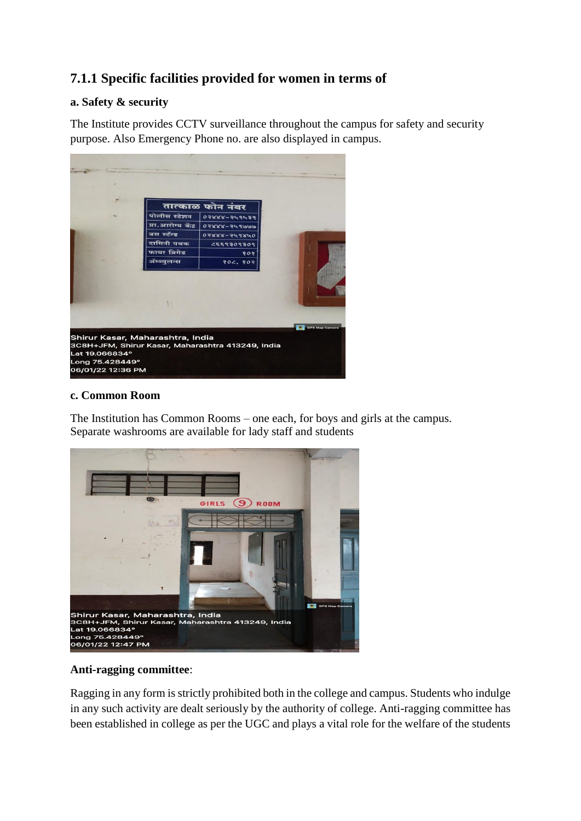# **7.1.1 Specific facilities provided for women in terms of**

### **a. Safety & security**

The Institute provides CCTV surveillance throughout the campus for safety and security purpose. Also Emergency Phone no. are also displayed in campus.



#### **c. Common Room**

The Institution has Common Rooms – one each, for boys and girls at the campus. Separate washrooms are available for lady staff and students



## **Anti-ragging committee**:

Ragging in any form is strictly prohibited both in the college and campus. Students who indulge in any such activity are dealt seriously by the authority of college. Anti-ragging committee has been established in college as per the UGC and plays a vital role for the welfare of the students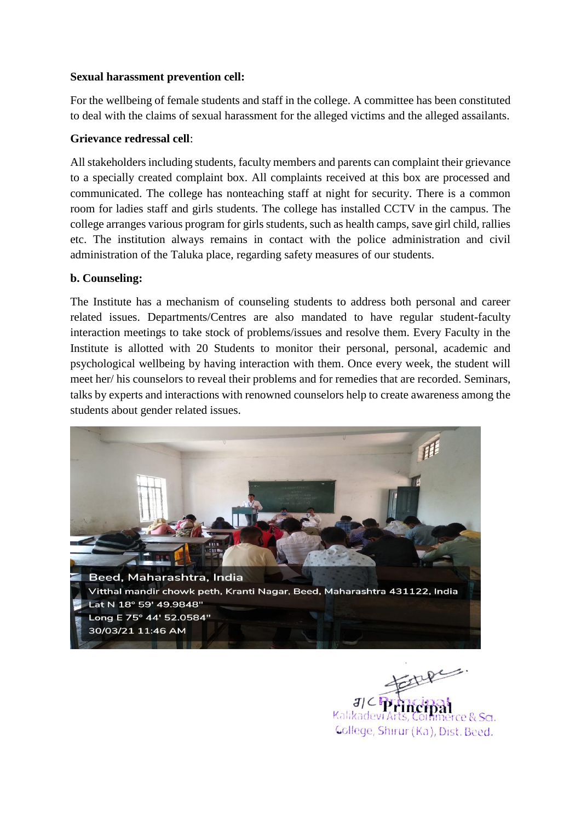### **Sexual harassment prevention cell:**

For the wellbeing of female students and staff in the college. A committee has been constituted to deal with the claims of sexual harassment for the alleged victims and the alleged assailants.

## **Grievance redressal cell**:

All stakeholders including students, faculty members and parents can complaint their grievance to a specially created complaint box. All complaints received at this box are processed and communicated. The college has nonteaching staff at night for security. There is a common room for ladies staff and girls students. The college has installed CCTV in the campus. The college arranges various program for girls students, such as health camps, save girl child, rallies etc. The institution always remains in contact with the police administration and civil administration of the Taluka place, regarding safety measures of our students.

### **b. Counseling:**

The Institute has a mechanism of counseling students to address both personal and career related issues. Departments/Centres are also mandated to have regular student-faculty interaction meetings to take stock of problems/issues and resolve them. Every Faculty in the Institute is allotted with 20 Students to monitor their personal, personal, academic and psychological wellbeing by having interaction with them. Once every week, the student will meet her/ his counselors to reveal their problems and for remedies that are recorded. Seminars, talks by experts and interactions with renowned counselors help to create awareness among the students about gender related issues.



Kalikadevi Art rce & Sa. Gollege, Shirur (Ka), Dist. Beed.